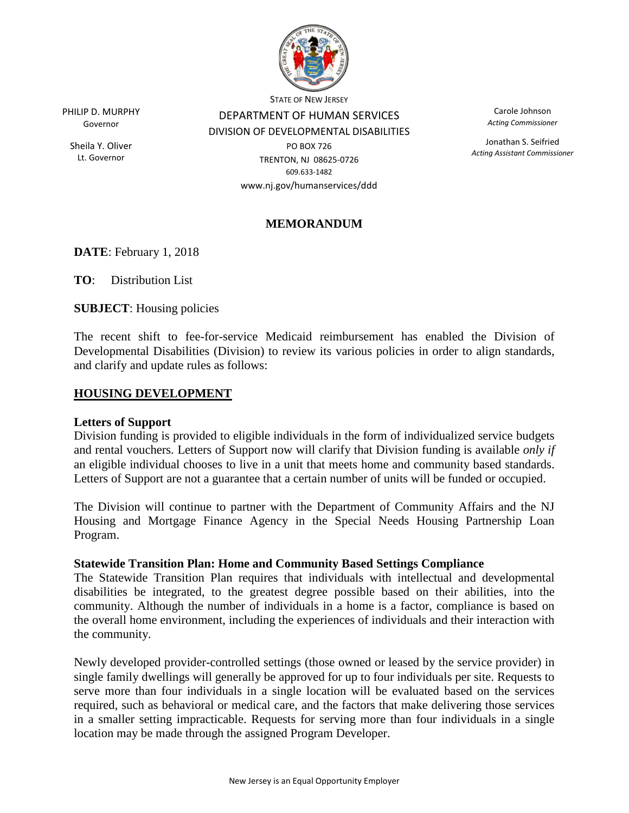

PHILIP D. MURPHY Governor

Sheila Y. Oliver Lt. Governor

STATE OF NEW JERSEY DEPARTMENT OF HUMAN SERVICES DIVISION OF DEVELOPMENTAL DISABILITIES

PO BOX 726 TRENTON, NJ 08625-0726 609.633-1482 www.nj.gov/humanservices/ddd

Carole Johnson *Acting Commissioner*

Jonathan S. Seifried *Acting Assistant Commissioner*

# **MEMORANDUM**

**DATE**: February 1, 2018

**TO**: Distribution List

**SUBJECT**: Housing policies

The recent shift to fee-for-service Medicaid reimbursement has enabled the Division of Developmental Disabilities (Division) to review its various policies in order to align standards, and clarify and update rules as follows:

### **HOUSING DEVELOPMENT**

### **Letters of Support**

Division funding is provided to eligible individuals in the form of individualized service budgets and rental vouchers. Letters of Support now will clarify that Division funding is available *only if* an eligible individual chooses to live in a unit that meets home and community based standards. Letters of Support are not a guarantee that a certain number of units will be funded or occupied.

The Division will continue to partner with the Department of Community Affairs and the NJ Housing and Mortgage Finance Agency in the Special Needs Housing Partnership Loan Program.

### **Statewide Transition Plan: Home and Community Based Settings Compliance**

The Statewide Transition Plan requires that individuals with intellectual and developmental disabilities be integrated, to the greatest degree possible based on their abilities, into the community. Although the number of individuals in a home is a factor, compliance is based on the overall home environment, including the experiences of individuals and their interaction with the community.

Newly developed provider-controlled settings (those owned or leased by the service provider) in single family dwellings will generally be approved for up to four individuals per site. Requests to serve more than four individuals in a single location will be evaluated based on the services required, such as behavioral or medical care, and the factors that make delivering those services in a smaller setting impracticable. Requests for serving more than four individuals in a single location may be made through the assigned Program Developer.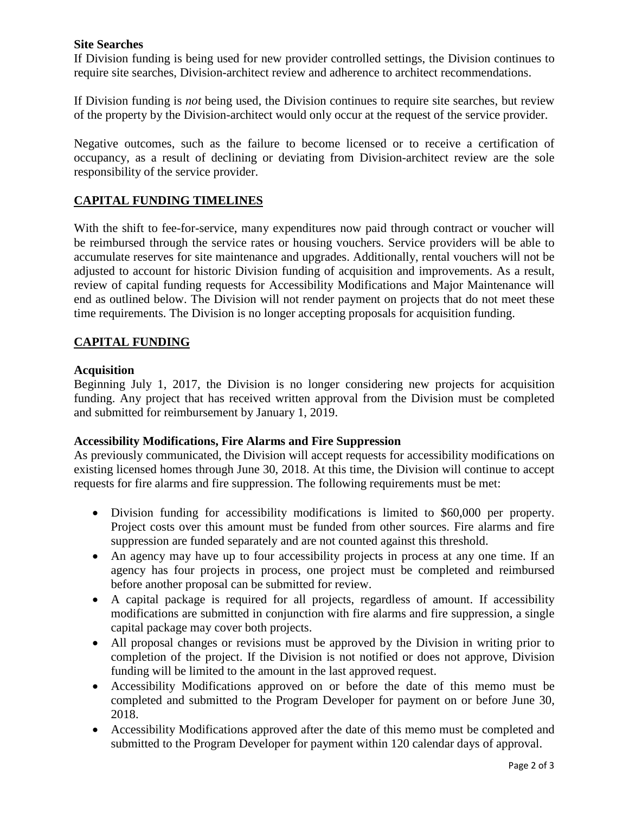### **Site Searches**

If Division funding is being used for new provider controlled settings, the Division continues to require site searches, Division-architect review and adherence to architect recommendations.

If Division funding is *not* being used, the Division continues to require site searches, but review of the property by the Division-architect would only occur at the request of the service provider.

Negative outcomes, such as the failure to become licensed or to receive a certification of occupancy, as a result of declining or deviating from Division-architect review are the sole responsibility of the service provider.

### **CAPITAL FUNDING TIMELINES**

With the shift to fee-for-service, many expenditures now paid through contract or voucher will be reimbursed through the service rates or housing vouchers. Service providers will be able to accumulate reserves for site maintenance and upgrades. Additionally, rental vouchers will not be adjusted to account for historic Division funding of acquisition and improvements. As a result, review of capital funding requests for Accessibility Modifications and Major Maintenance will end as outlined below. The Division will not render payment on projects that do not meet these time requirements. The Division is no longer accepting proposals for acquisition funding.

### **CAPITAL FUNDING**

### **Acquisition**

Beginning July 1, 2017, the Division is no longer considering new projects for acquisition funding. Any project that has received written approval from the Division must be completed and submitted for reimbursement by January 1, 2019.

### **Accessibility Modifications, Fire Alarms and Fire Suppression**

As previously communicated, the Division will accept requests for accessibility modifications on existing licensed homes through June 30, 2018. At this time, the Division will continue to accept requests for fire alarms and fire suppression. The following requirements must be met:

- Division funding for accessibility modifications is limited to \$60,000 per property. Project costs over this amount must be funded from other sources. Fire alarms and fire suppression are funded separately and are not counted against this threshold.
- An agency may have up to four accessibility projects in process at any one time. If an agency has four projects in process, one project must be completed and reimbursed before another proposal can be submitted for review.
- A capital package is required for all projects, regardless of amount. If accessibility modifications are submitted in conjunction with fire alarms and fire suppression, a single capital package may cover both projects.
- All proposal changes or revisions must be approved by the Division in writing prior to completion of the project. If the Division is not notified or does not approve, Division funding will be limited to the amount in the last approved request.
- Accessibility Modifications approved on or before the date of this memo must be completed and submitted to the Program Developer for payment on or before June 30, 2018.
- Accessibility Modifications approved after the date of this memo must be completed and submitted to the Program Developer for payment within 120 calendar days of approval.